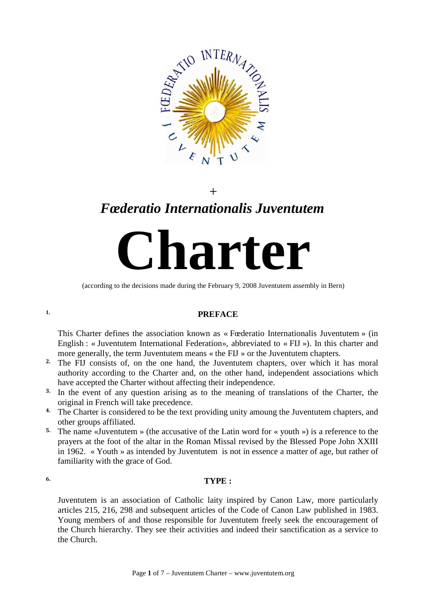

# $+$ *Fœderatio Internationalis Juventutem*

**Charter** 

(according to the decisions made during the February 9, 2008 Juventutem assembly in Bern)

#### **1. PREFACE**

This Charter defines the association known as « Fœderatio Internationalis Juventutem » (in English : « Juventutem International Federation», abbreviated to « FIJ »). In this charter and more generally, the term Juventutem means « the FIJ » or the Juventutem chapters.

- 2. The FIJ consists of, on the one hand, the Juventutem chapters, over which it has moral authority according to the Charter and, on the other hand, independent associations which have accepted the Charter without affecting their independence.
- <sup>3.</sup> In the event of any question arising as to the meaning of translations of the Charter, the original in French will take precedence.
- <sup>4.</sup> The Charter is considered to be the text providing unity amoung the Juventutem chapters, and other groups affiliated.
- <sup>5.</sup> The name «Juventutem » (the accusative of the Latin word for « youth ») is a reference to the prayers at the foot of the altar in the Roman Missal revised by the Blessed Pope John XXIII in 1962. « Youth » as intended by Juventutem is not in essence a matter of age, but rather of familiarity with the grace of God.

### 6. **TYPE :**

Juventutem is an association of Catholic laity inspired by Canon Law, more particularly articles 215, 216, 298 and subsequent articles of the Code of Canon Law published in 1983. Young members of and those responsible for Juventutem freely seek the encouragement of the Church hierarchy. They see their activities and indeed their sanctification as a service to the Church.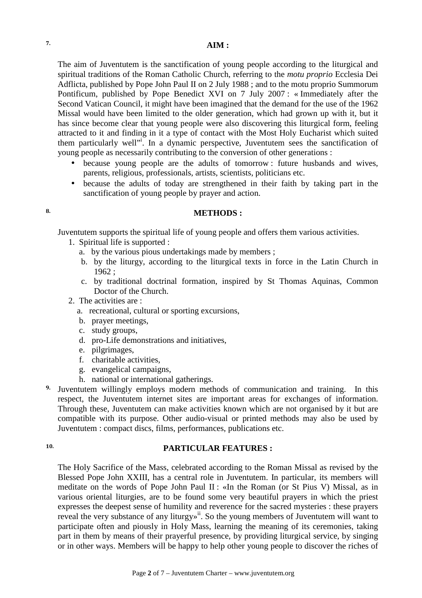The aim of Juventutem is the sanctification of young people according to the liturgical and spiritual traditions of the Roman Catholic Church, referring to the *motu proprio* Ecclesia Dei Adflicta, published by Pope John Paul II on 2 July 1988 ; and to the motu proprio Summorum Pontificum, published by Pope Benedict XVI on 7 July 2007 : « Immediately after the Second Vatican Council, it might have been imagined that the demand for the use of the 1962 Missal would have been limited to the older generation, which had grown up with it, but it has since become clear that young people were also discovering this liturgical form, feeling attracted to it and finding in it a type of contact with the Most Holy Eucharist which suited them particularly well"<sup>i</sup>. In a dynamic perspective, Juventutem sees the sanctification of young people as necessarily contributing to the conversion of other generations :

- because young people are the adults of tomorrow : future husbands and wives, parents, religious, professionals, artists, scientists, politicians etc.
- because the adults of today are strengthened in their faith by taking part in the sanctification of young people by prayer and action.

#### 8. **METHODS :**

Juventutem supports the spiritual life of young people and offers them various activities.

- 1. Spiritual life is supported :
	- a. by the various pious undertakings made by members ;
	- b. by the liturgy, according to the liturgical texts in force in the Latin Church in 1962 ;
	- c. by traditional doctrinal formation, inspired by St Thomas Aquinas, Common Doctor of the Church.
- 2. The activities are :
	- a. recreational, cultural or sporting excursions,
	- b. prayer meetings,
	- c. study groups,
	- d. pro-Life demonstrations and initiatives,
	- e. pilgrimages,
	- f. charitable activities,
	- g. evangelical campaigns,
	- h. national or international gatherings.

9. Juventutem willingly employs modern methods of communication and training. In this respect, the Juventutem internet sites are important areas for exchanges of information. Through these, Juventutem can make activities known which are not organised by it but are compatible with its purpose. Other audio-visual or printed methods may also be used by Juventutem : compact discs, films, performances, publications etc.

# 10. **PARTICULAR FEATURES :**

The Holy Sacrifice of the Mass, celebrated according to the Roman Missal as revised by the Blessed Pope John XXIII, has a central role in Juventutem. In particular, its members will meditate on the words of Pope John Paul II : «In the Roman (or St Pius V) Missal, as in various oriental liturgies, are to be found some very beautiful prayers in which the priest expresses the deepest sense of humility and reverence for the sacred mysteries : these prayers reveal the very substance of any liturgy»<sup>ii</sup>. So the young members of Juventutem will want to participate often and piously in Holy Mass, learning the meaning of its ceremonies, taking part in them by means of their prayerful presence, by providing liturgical service, by singing or in other ways. Members will be happy to help other young people to discover the riches of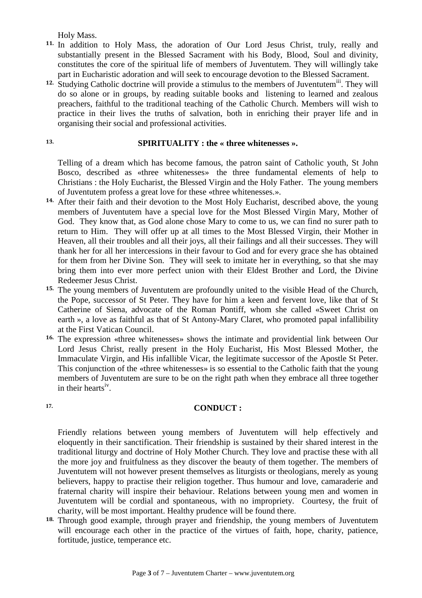Holy Mass.

- 11. In addition to Holy Mass, the adoration of Our Lord Jesus Christ, truly, really and substantially present in the Blessed Sacrament with his Body, Blood, Soul and divinity, constitutes the core of the spiritual life of members of Juventutem. They will willingly take part in Eucharistic adoration and will seek to encourage devotion to the Blessed Sacrament.
- <sup>12.</sup> Studying Catholic doctrine will provide a stimulus to the members of Juventutem<sup>iii</sup>. They will do so alone or in groups, by reading suitable books and listening to learned and zealous preachers, faithful to the traditional teaching of the Catholic Church. Members will wish to practice in their lives the truths of salvation, both in enriching their prayer life and in organising their social and professional activities.

#### 13. **SPIRITUALITY : the « three whitenesses ».**

Telling of a dream which has become famous, the patron saint of Catholic youth, St John Bosco, described as «three whitenesses» the three fundamental elements of help to Christians : the Holy Eucharist, the Blessed Virgin and the Holy Father. The young members of Juventutem profess a great love for these «three whitenesses.».

- 14. After their faith and their devotion to the Most Holy Eucharist, described above, the young members of Juventutem have a special love for the Most Blessed Virgin Mary, Mother of God. They know that, as God alone chose Mary to come to us, we can find no surer path to return to Him. They will offer up at all times to the Most Blessed Virgin, their Mother in Heaven, all their troubles and all their joys, all their failings and all their successes. They will thank her for all her intercessions in their favour to God and for every grace she has obtained for them from her Divine Son. They will seek to imitate her in everything, so that she may bring them into ever more perfect union with their Eldest Brother and Lord, the Divine Redeemer Jesus Christ.
- 15. The young members of Juventutem are profoundly united to the visible Head of the Church, the Pope, successor of St Peter. They have for him a keen and fervent love, like that of St Catherine of Siena, advocate of the Roman Pontiff, whom she called «Sweet Christ on earth », a love as faithful as that of St Antony-Mary Claret, who promoted papal infallibility at the First Vatican Council.
- 16. The expression «three whitenesses» shows the intimate and providential link between Our Lord Jesus Christ, really present in the Holy Eucharist, His Most Blessed Mother, the Immaculate Virgin, and His infallible Vicar, the legitimate successor of the Apostle St Peter. This conjunction of the «three whitenesses» is so essential to the Catholic faith that the young members of Juventutem are sure to be on the right path when they embrace all three together in their hearts<sup>iv</sup>.

#### **17. CONDUCT :**

Friendly relations between young members of Juventutem will help effectively and eloquently in their sanctification. Their friendship is sustained by their shared interest in the traditional liturgy and doctrine of Holy Mother Church. They love and practise these with all the more joy and fruitfulness as they discover the beauty of them together. The members of Juventutem will not however present themselves as liturgists or theologians, merely as young believers, happy to practise their religion together. Thus humour and love, camaraderie and fraternal charity will inspire their behaviour. Relations between young men and women in Juventutem will be cordial and spontaneous, with no impropriety. Courtesy, the fruit of charity, will be most important. Healthy prudence will be found there.

18. Through good example, through prayer and friendship, the young members of Juventutem will encourage each other in the practice of the virtues of faith, hope, charity, patience, fortitude, justice, temperance etc.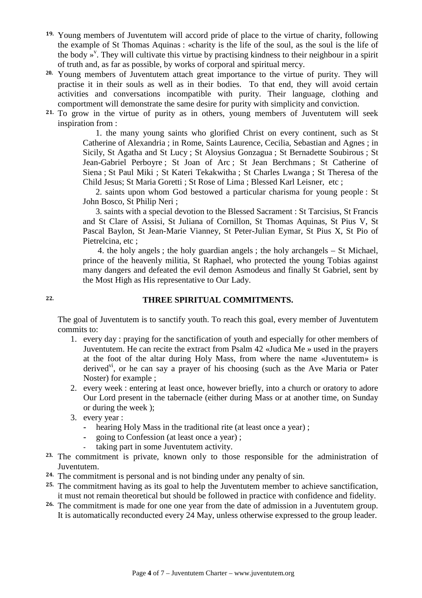- 19. Young members of Juventutem will accord pride of place to the virtue of charity, following the example of St Thomas Aquinas : «charity is the life of the soul, as the soul is the life of the body  $\overline{y}^{\nu}$ . They will cultivate this virtue by practising kindness to their neighbour in a spirit of truth and, as far as possible, by works of corporal and spiritual mercy.
- **20.** Young members of Juventutem attach great importance to the virtue of purity. They will practise it in their souls as well as in their bodies. To that end, they will avoid certain activities and conversations incompatible with purity. Their language, clothing and comportment will demonstrate the same desire for purity with simplicity and conviction.
- 21. To grow in the virtue of purity as in others, young members of Juventutem will seek inspiration from :

 1. the many young saints who glorified Christ on every continent, such as St Catherine of Alexandria ; in Rome, Saints Laurence, Cecilia, Sebastian and Agnes ; in Sicily, St Agatha and St Lucy ; St Aloysius Gonzagua ; St Bernadette Soubirous ; St Jean-Gabriel Perboyre ; St Joan of Arc ; St Jean Berchmans ; St Catherine of Siena ; St Paul Miki ; St Kateri Tekakwitha ; St Charles Lwanga ; St Theresa of the Child Jesus; St Maria Goretti ; St Rose of Lima ; Blessed Karl Leisner, etc ;

 2. saints upon whom God bestowed a particular charisma for young people : St John Bosco, St Philip Neri ;

 3. saints with a special devotion to the Blessed Sacrament : St Tarcisius, St Francis and St Clare of Assisi, St Juliana of Cornillon, St Thomas Aquinas, St Pius V, St Pascal Baylon, St Jean-Marie Vianney, St Peter-Julian Eymar, St Pius X, St Pio of Pietrelcina, etc ;

 4. the holy angels ; the holy guardian angels ; the holy archangels – St Michael, prince of the heavenly militia, St Raphael, who protected the young Tobias against many dangers and defeated the evil demon Asmodeus and finally St Gabriel, sent by the Most High as His representative to Our Lady.

# 22. **THREE SPIRITUAL COMMITMENTS.**

The goal of Juventutem is to sanctify youth. To reach this goal, every member of Juventutem commits to:

- 1. every day : praying for the sanctification of youth and especially for other members of Juventutem. He can recite the extract from Psalm 42 «Judica Me » used in the prayers at the foot of the altar during Holy Mass, from where the name «Juventutem» is derived<sup>vi</sup>, or he can say a prayer of his choosing (such as the Ave Maria or Pater Noster) for example ;
- 2. every week : entering at least once, however briefly, into a church or oratory to adore Our Lord present in the tabernacle (either during Mass or at another time, on Sunday or during the week );
- 3. every year :
	- **-** hearing Holy Mass in the traditional rite (at least once a year) ;
	- **-** going to Confession (at least once a year) ;
	- **-** taking part in some Juventutem activity.
- **23.** The commitment is private, known only to those responsible for the administration of Juventutem.
- 24. The commitment is personal and is not binding under any penalty of sin.
- <sup>25.</sup> The commitment having as its goal to help the Juventutem member to achieve sanctification, it must not remain theoretical but should be followed in practice with confidence and fidelity.
- 26. The commitment is made for one one year from the date of admission in a Juventutem group. It is automatically reconducted every 24 May, unless otherwise expressed to the group leader.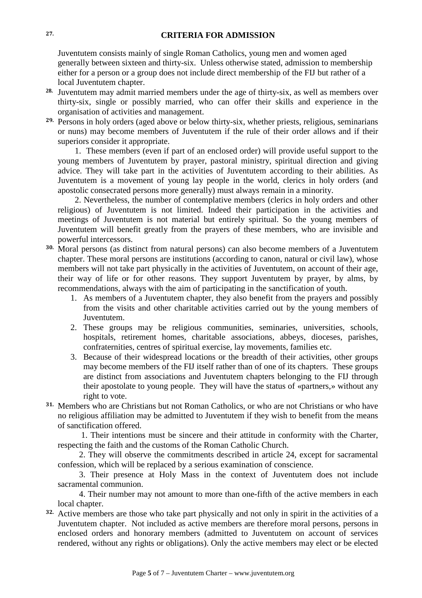#### 27. **CRITERIA FOR ADMISSION**

Juventutem consists mainly of single Roman Catholics, young men and women aged generally between sixteen and thirty-six. Unless otherwise stated, admission to membership either for a person or a group does not include direct membership of the FIJ but rather of a local Juventutem chapter.

- **28.** Juventutem may admit married members under the age of thirty-six, as well as members over thirty-six, single or possibly married, who can offer their skills and experience in the organisation of activities and management.
- 29. Persons in holy orders (aged above or below thirty-six, whether priests, religious, seminarians or nuns) may become members of Juventutem if the rule of their order allows and if their superiors consider it appropriate.

 1. These members (even if part of an enclosed order) will provide useful support to the young members of Juventutem by prayer, pastoral ministry, spiritual direction and giving advice. They will take part in the activities of Juventutem according to their abilities. As Juventutem is a movement of young lay people in the world, clerics in holy orders (and apostolic consecrated persons more generally) must always remain in a minority.

 2. Nevertheless, the number of contemplative members (clerics in holy orders and other religious) of Juventutem is not limited. Indeed their participation in the activities and meetings of Juventutem is not material but entirely spiritual. So the young members of Juventutem will benefit greatly from the prayers of these members, who are invisible and powerful intercessors.

- 30. Moral persons (as distinct from natural persons) can also become members of a Juventutem chapter. These moral persons are institutions (according to canon, natural or civil law), whose members will not take part physically in the activities of Juventutem, on account of their age, their way of life or for other reasons. They support Juventutem by prayer, by alms, by recommendations, always with the aim of participating in the sanctification of youth.
	- 1. As members of a Juventutem chapter, they also benefit from the prayers and possibly from the visits and other charitable activities carried out by the young members of Juventutem.
	- 2. These groups may be religious communities, seminaries, universities, schools, hospitals, retirement homes, charitable associations, abbeys, dioceses, parishes, confraternities, centres of spiritual exercise, lay movements, families etc.
	- 3. Because of their widespread locations or the breadth of their activities, other groups may become members of the FIJ itself rather than of one of its chapters. These groups are distinct from associations and Juventutem chapters belonging to the FIJ through their apostolate to young people. They will have the status of «partners,» without any right to vote.
- 31. Members who are Christians but not Roman Catholics, or who are not Christians or who have no religious affiliation may be admitted to Juventutem if they wish to benefit from the means of sanctification offered.

 1. Their intentions must be sincere and their attitude in conformity with the Charter, respecting the faith and the customs of the Roman Catholic Church.

 2. They will observe the commitments described in article 24, except for sacramental confession, which will be replaced by a serious examination of conscience.

 3. Their presence at Holy Mass in the context of Juventutem does not include sacramental communion.

 4. Their number may not amount to more than one-fifth of the active members in each local chapter.

32. Active members are those who take part physically and not only in spirit in the activities of a Juventutem chapter. Not included as active members are therefore moral persons, persons in enclosed orders and honorary members (admitted to Juventutem on account of services rendered, without any rights or obligations). Only the active members may elect or be elected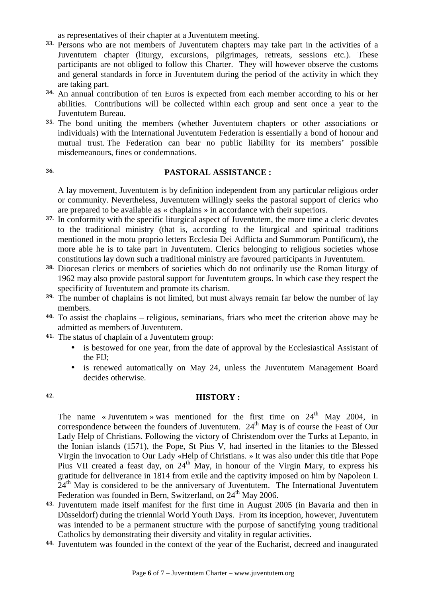as representatives of their chapter at a Juventutem meeting.

- 33. Persons who are not members of Juventutem chapters may take part in the activities of a Juventutem chapter (liturgy, excursions, pilgrimages, retreats, sessions etc.). These participants are not obliged to follow this Charter. They will however observe the customs and general standards in force in Juventutem during the period of the activity in which they are taking part.
- 34. An annual contribution of ten Euros is expected from each member according to his or her abilities. Contributions will be collected within each group and sent once a year to the Juventutem Bureau.
- 35. The bond uniting the members (whether Juventutem chapters or other associations or individuals) with the International Juventutem Federation is essentially a bond of honour and mutual trust. The Federation can bear no public liability for its members' possible misdemeanours, fines or condemnations.

## 36. **PASTORAL ASSISTANCE :**

A lay movement, Juventutem is by definition independent from any particular religious order or community. Nevertheless, Juventutem willingly seeks the pastoral support of clerics who are prepared to be available as « chaplains » in accordance with their superiors.

- 37. In conformity with the specific liturgical aspect of Juventutem, the more time a cleric devotes to the traditional ministry (that is, according to the liturgical and spiritual traditions mentioned in the motu proprio letters Ecclesia Dei Adflicta and Summorum Pontificum), the more able he is to take part in Juventutem. Clerics belonging to religious societies whose constitutions lay down such a traditional ministry are favoured participants in Juventutem.
- 38. Diocesan clerics or members of societies which do not ordinarily use the Roman liturgy of 1962 may also provide pastoral support for Juventutem groups. In which case they respect the specificity of Juventutem and promote its charism.
- <sup>39.</sup> The number of chaplains is not limited, but must always remain far below the number of lay members.
- 40. To assist the chaplains religious, seminarians, friars who meet the criterion above may be admitted as members of Juventutem.
- 41. The status of chaplain of a Juventutem group:
	- is bestowed for one year, from the date of approval by the Ecclesiastical Assistant of the FIJ;
	- is renewed automatically on May 24, unless the Juventutem Management Board decides otherwise.

#### 42. **HISTORY :**

The name «Juventutem » was mentioned for the first time on  $24<sup>th</sup>$  May 2004, in correspondence between the founders of Juventutem.  $24<sup>th</sup>$  May is of course the Feast of Our Lady Help of Christians. Following the victory of Christendom over the Turks at Lepanto, in the Ionian islands (1571), the Pope, St Pius V, had inserted in the litanies to the Blessed Virgin the invocation to Our Lady «Help of Christians. » It was also under this title that Pope Pius VII created a feast day, on  $24<sup>th</sup>$  May, in honour of the Virgin Mary, to express his gratitude for deliverance in 1814 from exile and the captivity imposed on him by Napoleon I.  $24<sup>th</sup>$  May is considered to be the anniversary of Juventutem. The International Juventutem Federation was founded in Bern, Switzerland, on  $24<sup>th</sup>$  May 2006.

- 43. Juventutem made itself manifest for the first time in August 2005 (in Bavaria and then in Düsseldorf) during the triennial World Youth Days. From its inception, however, Juventutem was intended to be a permanent structure with the purpose of sanctifying young traditional Catholics by demonstrating their diversity and vitality in regular activities.
- 44. Juventutem was founded in the context of the year of the Eucharist, decreed and inaugurated